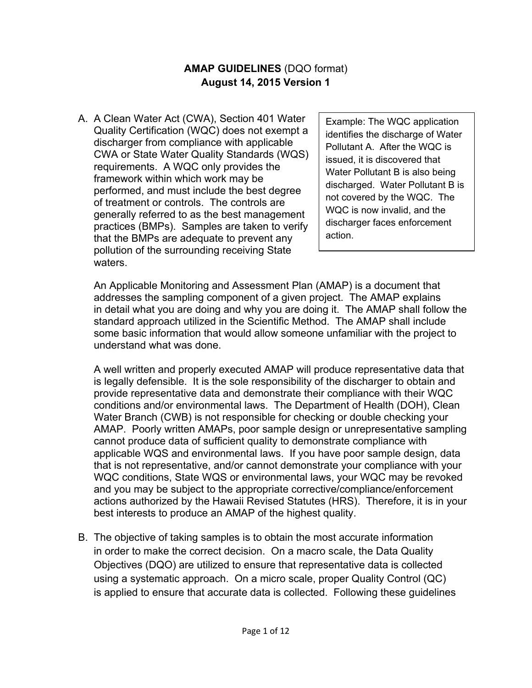## **AMAP GUIDELINES** (DQO format) **August 14, 2015 Version 1**

A. A Clean Water Act (CWA), Section 401 Water Quality Certification (WQC) does not exempt a discharger from compliance with applicable CWA or State Water Quality Standards (WQS) requirements. A WQC only provides the framework within which work may be performed, and must include the best degree of treatment or controls. The controls are generally referred to as the best management practices (BMPs). Samples are taken to verify that the BMPs are adequate to prevent any pollution of the surrounding receiving State waters.

Example: The WQC application identifies the discharge of Water Pollutant A. After the WQC is issued, it is discovered that Water Pollutant B is also being discharged. Water Pollutant B is not covered by the WQC. The WQC is now invalid, and the discharger faces enforcement action.

An Applicable Monitoring and Assessment Plan (AMAP) is a document that addresses the sampling component of a given project. The AMAP explains in detail what you are doing and why you are doing it. The AMAP shall follow the standard approach utilized in the Scientific Method. The AMAP shall include some basic information that would allow someone unfamiliar with the project to understand what was done.

A well written and properly executed AMAP will produce representative data that is legally defensible. It is the sole responsibility of the discharger to obtain and provide representative data and demonstrate their compliance with their WQC conditions and/or environmental laws. The Department of Health (DOH), Clean Water Branch (CWB) is not responsible for checking or double checking your AMAP. Poorly written AMAPs, poor sample design or unrepresentative sampling cannot produce data of sufficient quality to demonstrate compliance with applicable WQS and environmental laws. If you have poor sample design, data that is not representative, and/or cannot demonstrate your compliance with your WQC conditions, State WQS or environmental laws, your WQC may be revoked and you may be subject to the appropriate corrective/compliance/enforcement actions authorized by the Hawaii Revised Statutes (HRS). Therefore, it is in your best interests to produce an AMAP of the highest quality.

B. The objective of taking samples is to obtain the most accurate information in order to make the correct decision. On a macro scale, the Data Quality Objectives (DQO) are utilized to ensure that representative data is collected using a systematic approach. On a micro scale, proper Quality Control (QC) is applied to ensure that accurate data is collected. Following these guidelines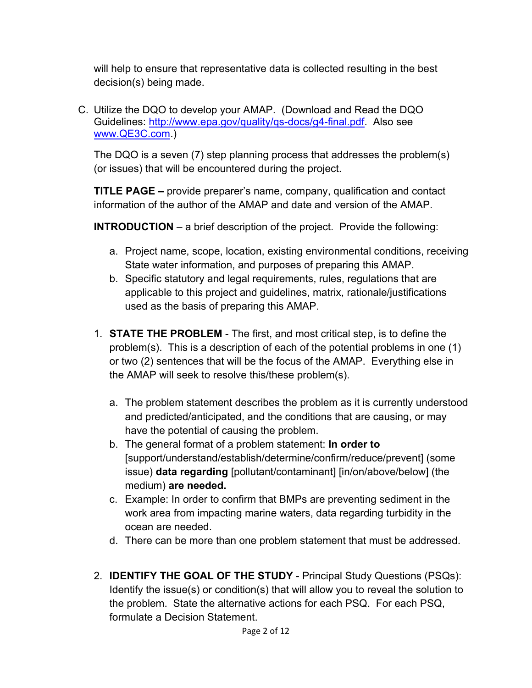will help to ensure that representative data is collected resulting in the best decision(s) being made.

C. Utilize the DQO to develop your AMAP. (Download and Read the DQO Guidelines: http://www.epa.gov/quality/qs-docs/g4-final.pdf. Also see www.QE3C.com.)

The DQO is a seven (7) step planning process that addresses the problem(s) (or issues) that will be encountered during the project.

**TITLE PAGE –** provide preparer's name, company, qualification and contact information of the author of the AMAP and date and version of the AMAP.

**INTRODUCTION** – a brief description of the project. Provide the following:

- a. Project name, scope, location, existing environmental conditions, receiving State water information, and purposes of preparing this AMAP.
- b. Specific statutory and legal requirements, rules, regulations that are applicable to this project and guidelines, matrix, rationale/justifications used as the basis of preparing this AMAP.
- 1. **STATE THE PROBLEM** The first, and most critical step, is to define the problem(s). This is a description of each of the potential problems in one (1) or two (2) sentences that will be the focus of the AMAP. Everything else in the AMAP will seek to resolve this/these problem(s).
	- a. The problem statement describes the problem as it is currently understood and predicted/anticipated, and the conditions that are causing, or may have the potential of causing the problem.
	- b. The general format of a problem statement: **In order to**  [support/understand/establish/determine/confirm/reduce/prevent] (some issue) **data regarding** [pollutant/contaminant] [in/on/above/below] (the medium) **are needed.**
	- c. Example: In order to confirm that BMPs are preventing sediment in the work area from impacting marine waters, data regarding turbidity in the ocean are needed.
	- d. There can be more than one problem statement that must be addressed.
- 2. **IDENTIFY THE GOAL OF THE STUDY** Principal Study Questions (PSQs): Identify the issue(s) or condition(s) that will allow you to reveal the solution to the problem. State the alternative actions for each PSQ. For each PSQ, formulate a Decision Statement.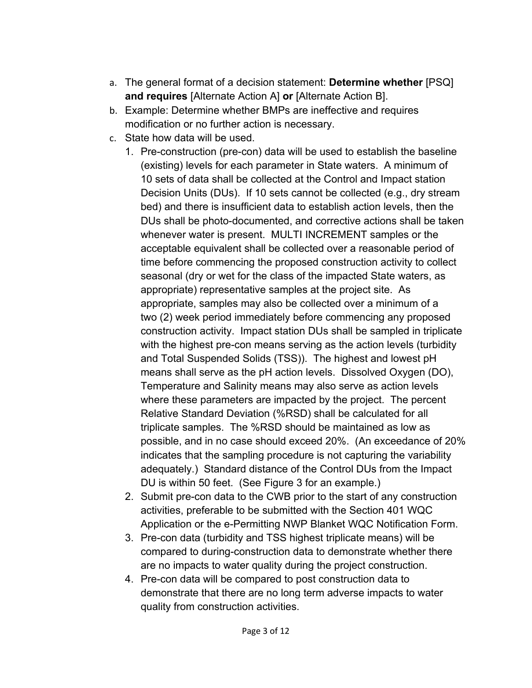- a. The general format of a decision statement: **Determine whether** [PSQ] **and requires** [Alternate Action A] **or** [Alternate Action B].
- b. Example: Determine whether BMPs are ineffective and requires modification or no further action is necessary.
- c. State how data will be used.
	- 1. Pre-construction (pre-con) data will be used to establish the baseline (existing) levels for each parameter in State waters. A minimum of 10 sets of data shall be collected at the Control and Impact station Decision Units (DUs). If 10 sets cannot be collected (e.g., dry stream bed) and there is insufficient data to establish action levels, then the DUs shall be photo-documented, and corrective actions shall be taken whenever water is present. MULTI INCREMENT samples or the acceptable equivalent shall be collected over a reasonable period of time before commencing the proposed construction activity to collect seasonal (dry or wet for the class of the impacted State waters, as appropriate) representative samples at the project site. As appropriate, samples may also be collected over a minimum of a two (2) week period immediately before commencing any proposed construction activity. Impact station DUs shall be sampled in triplicate with the highest pre-con means serving as the action levels (turbidity and Total Suspended Solids (TSS)). The highest and lowest pH means shall serve as the pH action levels. Dissolved Oxygen (DO), Temperature and Salinity means may also serve as action levels where these parameters are impacted by the project. The percent Relative Standard Deviation (%RSD) shall be calculated for all triplicate samples. The %RSD should be maintained as low as possible, and in no case should exceed 20%. (An exceedance of 20% indicates that the sampling procedure is not capturing the variability adequately.) Standard distance of the Control DUs from the Impact DU is within 50 feet. (See Figure 3 for an example.)
	- 2. Submit pre-con data to the CWB prior to the start of any construction activities, preferable to be submitted with the Section 401 WQC Application or the e-Permitting NWP Blanket WQC Notification Form.
	- 3. Pre-con data (turbidity and TSS highest triplicate means) will be compared to during-construction data to demonstrate whether there are no impacts to water quality during the project construction.
	- 4. Pre-con data will be compared to post construction data to demonstrate that there are no long term adverse impacts to water quality from construction activities.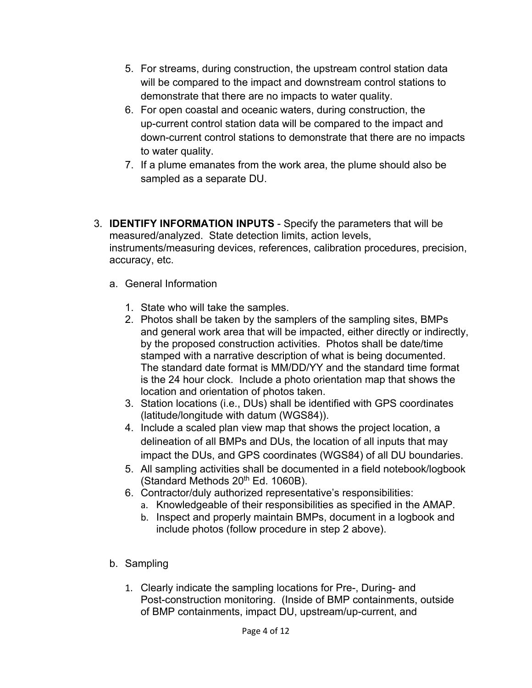- 5. For streams, during construction, the upstream control station data will be compared to the impact and downstream control stations to demonstrate that there are no impacts to water quality.
- 6. For open coastal and oceanic waters, during construction, the up-current control station data will be compared to the impact and down-current control stations to demonstrate that there are no impacts to water quality.
- 7. If a plume emanates from the work area, the plume should also be sampled as a separate DU.
- 3. **IDENTIFY INFORMATION INPUTS** Specify the parameters that will be measured/analyzed. State detection limits, action levels, instruments/measuring devices, references, calibration procedures, precision, accuracy, etc.
	- a. General Information
		- 1. State who will take the samples.
		- 2. Photos shall be taken by the samplers of the sampling sites, BMPs and general work area that will be impacted, either directly or indirectly, by the proposed construction activities. Photos shall be date/time stamped with a narrative description of what is being documented. The standard date format is MM/DD/YY and the standard time format is the 24 hour clock. Include a photo orientation map that shows the location and orientation of photos taken.
		- 3. Station locations (i.e., DUs) shall be identified with GPS coordinates (latitude/longitude with datum (WGS84)).
		- 4. Include a scaled plan view map that shows the project location, a delineation of all BMPs and DUs, the location of all inputs that may impact the DUs, and GPS coordinates (WGS84) of all DU boundaries.
		- 5. All sampling activities shall be documented in a field notebook/logbook (Standard Methods 20<sup>th</sup> Ed. 1060B).
		- 6. Contractor/duly authorized representative's responsibilities:
			- a. Knowledgeable of their responsibilities as specified in the AMAP.
			- b. Inspect and properly maintain BMPs, document in a logbook and include photos (follow procedure in step 2 above).
	- b. Sampling
		- 1. Clearly indicate the sampling locations for Pre-, During- and Post-construction monitoring. (Inside of BMP containments, outside of BMP containments, impact DU, upstream/up-current, and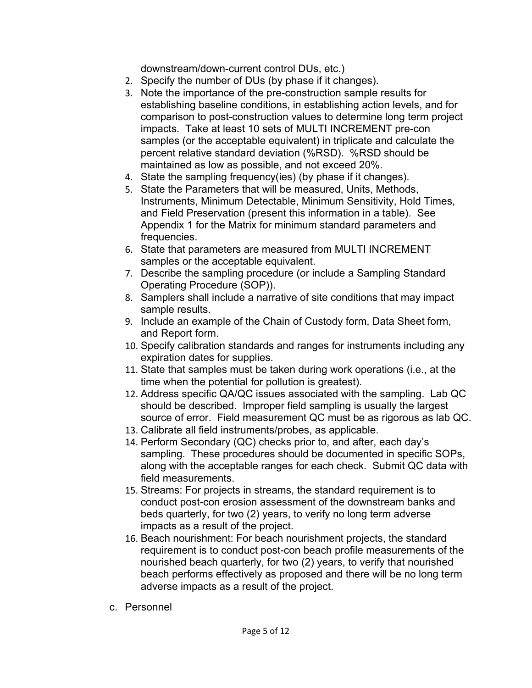downstream/down-current control DUs, etc.)

- 2. Specify the number of DUs (by phase if it changes).
- 3. Note the importance of the pre-construction sample results for establishing baseline conditions, in establishing action levels, and for comparison to post-construction values to determine long term project impacts. Take at least 10 sets of MULTI INCREMENT pre-con samples (or the acceptable equivalent) in triplicate and calculate the percent relative standard deviation (%RSD). %RSD should be maintained as low as possible, and not exceed 20%.
- 4. State the sampling frequency(ies) (by phase if it changes).
- 5. State the Parameters that will be measured, Units, Methods, Instruments, Minimum Detectable, Minimum Sensitivity, Hold Times, and Field Preservation (present this information in a table). See Appendix 1 for the Matrix for minimum standard parameters and frequencies.
- 6. State that parameters are measured from MULTI INCREMENT samples or the acceptable equivalent.
- 7. Describe the sampling procedure (or include a Sampling Standard Operating Procedure (SOP)).
- 8. Samplers shall include a narrative of site conditions that may impact sample results.
- 9. Include an example of the Chain of Custody form, Data Sheet form, and Report form.
- 10. Specify calibration standards and ranges for instruments including any expiration dates for supplies.
- 11. State that samples must be taken during work operations (i.e., at the time when the potential for pollution is greatest).
- 12. Address specific QA/QC issues associated with the sampling. Lab QC should be described. Improper field sampling is usually the largest source of error. Field measurement QC must be as rigorous as lab QC.
- 13. Calibrate all field instruments/probes, as applicable.
- 14. Perform Secondary (QC) checks prior to, and after, each day's sampling. These procedures should be documented in specific SOPs, along with the acceptable ranges for each check. Submit QC data with field measurements.
- 15. Streams: For projects in streams, the standard requirement is to conduct post-con erosion assessment of the downstream banks and beds quarterly, for two (2) years, to verify no long term adverse impacts as a result of the project.
- 16. Beach nourishment: For beach nourishment projects, the standard requirement is to conduct post-con beach profile measurements of the nourished beach quarterly, for two (2) years, to verify that nourished beach performs effectively as proposed and there will be no long term adverse impacts as a result of the project.
- c. Personnel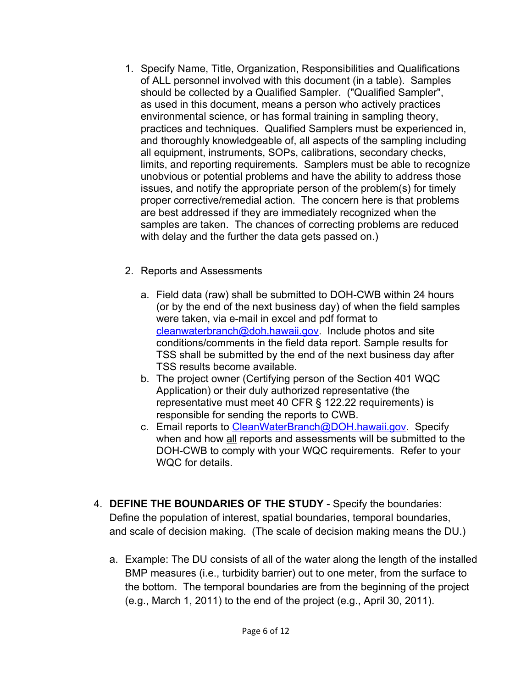- 1. Specify Name, Title, Organization, Responsibilities and Qualifications of ALL personnel involved with this document (in a table). Samples should be collected by a Qualified Sampler. ("Qualified Sampler", as used in this document, means a person who actively practices environmental science, or has formal training in sampling theory, practices and techniques. Qualified Samplers must be experienced in, and thoroughly knowledgeable of, all aspects of the sampling including all equipment, instruments, SOPs, calibrations, secondary checks, limits, and reporting requirements. Samplers must be able to recognize unobvious or potential problems and have the ability to address those issues, and notify the appropriate person of the problem(s) for timely proper corrective/remedial action. The concern here is that problems are best addressed if they are immediately recognized when the samples are taken. The chances of correcting problems are reduced with delay and the further the data gets passed on.)
- 2. Reports and Assessments
	- a. Field data (raw) shall be submitted to DOH-CWB within 24 hours (or by the end of the next business day) of when the field samples were taken, via e-mail in excel and pdf format to cleanwaterbranch@doh.hawaii.gov. Include photos and site conditions/comments in the field data report. Sample results for TSS shall be submitted by the end of the next business day after TSS results become available.
	- b. The project owner (Certifying person of the Section 401 WQC Application) or their duly authorized representative (the representative must meet 40 CFR § 122.22 requirements) is responsible for sending the reports to CWB.
	- c. Email reports to CleanWaterBranch@DOH.hawaii.gov. Specify when and how all reports and assessments will be submitted to the DOH-CWB to comply with your WQC requirements. Refer to your WQC for details.
- 4. **DEFINE THE BOUNDARIES OF THE STUDY** Specify the boundaries: Define the population of interest, spatial boundaries, temporal boundaries, and scale of decision making. (The scale of decision making means the DU.)
	- a. Example: The DU consists of all of the water along the length of the installed BMP measures (i.e., turbidity barrier) out to one meter, from the surface to the bottom. The temporal boundaries are from the beginning of the project (e.g., March 1, 2011) to the end of the project (e.g., April 30, 2011).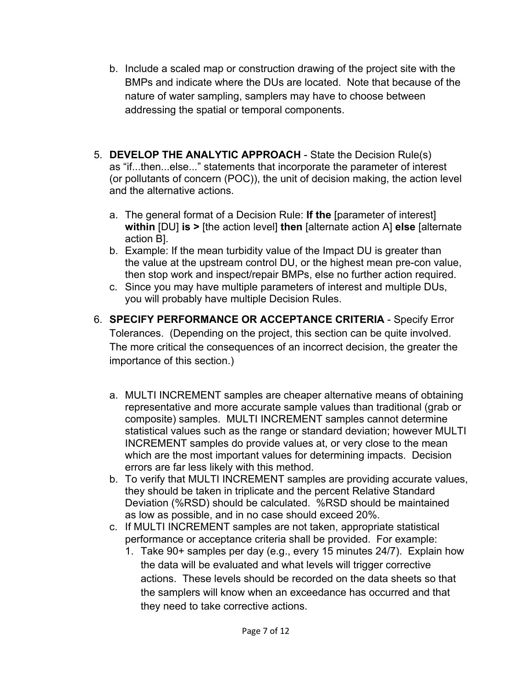- b. Include a scaled map or construction drawing of the project site with the BMPs and indicate where the DUs are located. Note that because of the nature of water sampling, samplers may have to choose between addressing the spatial or temporal components.
- 5. **DEVELOP THE ANALYTIC APPROACH**  State the Decision Rule(s) as "if...then...else..." statements that incorporate the parameter of interest (or pollutants of concern (POC)), the unit of decision making, the action level and the alternative actions.
	- a. The general format of a Decision Rule: **If the** [parameter of interest] **within** [DU] **is >** [the action level] **then** [alternate action A] **else** [alternate action B].
	- b. Example: If the mean turbidity value of the Impact DU is greater than the value at the upstream control DU, or the highest mean pre-con value, then stop work and inspect/repair BMPs, else no further action required.
	- c. Since you may have multiple parameters of interest and multiple DUs, you will probably have multiple Decision Rules.
- 6. **SPECIFY PERFORMANCE OR ACCEPTANCE CRITERIA** Specify Error Tolerances. (Depending on the project, this section can be quite involved. The more critical the consequences of an incorrect decision, the greater the importance of this section.)
	- a. MULTI INCREMENT samples are cheaper alternative means of obtaining representative and more accurate sample values than traditional (grab or composite) samples. MULTI INCREMENT samples cannot determine statistical values such as the range or standard deviation; however MULTI INCREMENT samples do provide values at, or very close to the mean which are the most important values for determining impacts. Decision errors are far less likely with this method.
	- b. To verify that MULTI INCREMENT samples are providing accurate values, they should be taken in triplicate and the percent Relative Standard Deviation (%RSD) should be calculated. %RSD should be maintained as low as possible, and in no case should exceed 20%.
	- c. If MULTI INCREMENT samples are not taken, appropriate statistical performance or acceptance criteria shall be provided. For example:
		- 1. Take 90+ samples per day (e.g., every 15 minutes 24/7). Explain how the data will be evaluated and what levels will trigger corrective actions. These levels should be recorded on the data sheets so that the samplers will know when an exceedance has occurred and that they need to take corrective actions.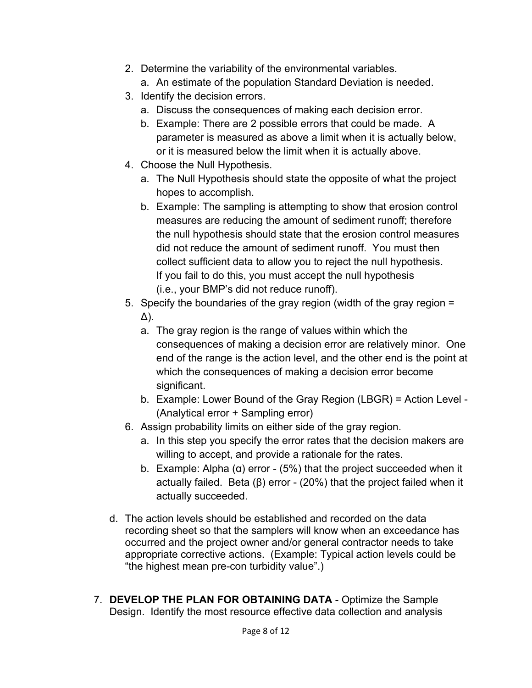- 2. Determine the variability of the environmental variables.
	- a. An estimate of the population Standard Deviation is needed.
- 3. Identify the decision errors.
	- a. Discuss the consequences of making each decision error.
	- b. Example: There are 2 possible errors that could be made. A parameter is measured as above a limit when it is actually below, or it is measured below the limit when it is actually above.
- 4. Choose the Null Hypothesis.
	- a. The Null Hypothesis should state the opposite of what the project hopes to accomplish.
	- b. Example: The sampling is attempting to show that erosion control measures are reducing the amount of sediment runoff; therefore the null hypothesis should state that the erosion control measures did not reduce the amount of sediment runoff. You must then collect sufficient data to allow you to reject the null hypothesis. If you fail to do this, you must accept the null hypothesis (i.e., your BMP's did not reduce runoff).
- 5. Specify the boundaries of the gray region (width of the gray region = Δ).
	- a. The gray region is the range of values within which the consequences of making a decision error are relatively minor. One end of the range is the action level, and the other end is the point at which the consequences of making a decision error become significant.
	- b. Example: Lower Bound of the Gray Region (LBGR) = Action Level (Analytical error + Sampling error)
- 6. Assign probability limits on either side of the gray region.
	- a. In this step you specify the error rates that the decision makers are willing to accept, and provide a rationale for the rates.
	- b. Example: Alpha (α) error (5%) that the project succeeded when it actually failed. Beta  $(β)$  error -  $(20%)$  that the project failed when it actually succeeded.
- d. The action levels should be established and recorded on the data recording sheet so that the samplers will know when an exceedance has occurred and the project owner and/or general contractor needs to take appropriate corrective actions. (Example: Typical action levels could be "the highest mean pre-con turbidity value".)
- 7. **DEVELOP THE PLAN FOR OBTAINING DATA** Optimize the Sample Design. Identify the most resource effective data collection and analysis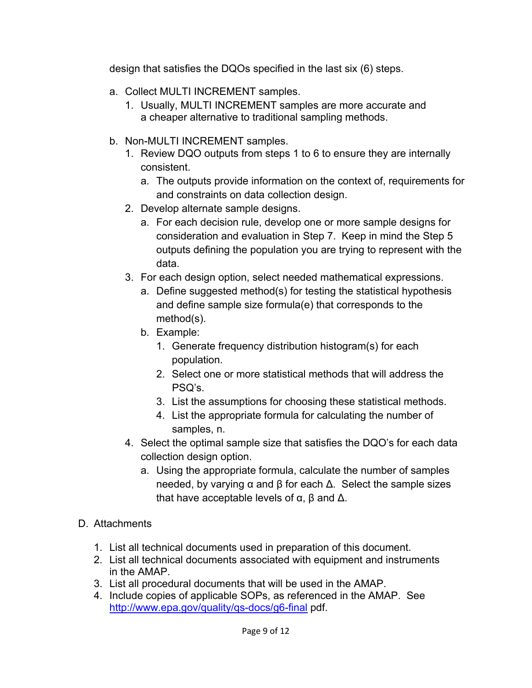design that satisfies the DQOs specified in the last six (6) steps.

- a. Collect MULTI INCREMENT samples.
	- 1. Usually, MULTI INCREMENT samples are more accurate and a cheaper alternative to traditional sampling methods.
- b. Non-MULTI INCREMENT samples.
	- 1. Review DQO outputs from steps 1 to 6 to ensure they are internally consistent.
		- a. The outputs provide information on the context of, requirements for and constraints on data collection design.
	- 2. Develop alternate sample designs.
		- a. For each decision rule, develop one or more sample designs for consideration and evaluation in Step 7. Keep in mind the Step 5 outputs defining the population you are trying to represent with the data.
	- 3. For each design option, select needed mathematical expressions.
		- a. Define suggested method(s) for testing the statistical hypothesis and define sample size formula(e) that corresponds to the method(s).
		- b. Example:
			- 1. Generate frequency distribution histogram(s) for each population.
			- 2. Select one or more statistical methods that will address the PSQ's.
			- 3. List the assumptions for choosing these statistical methods.
			- 4. List the appropriate formula for calculating the number of samples, n.
	- 4. Select the optimal sample size that satisfies the DQO's for each data collection design option.
		- a. Using the appropriate formula, calculate the number of samples needed, by varying  $\alpha$  and  $\beta$  for each  $\Delta$ . Select the sample sizes that have acceptable levels of  $\alpha$ ,  $\beta$  and  $\Delta$ .
- D. Attachments
	- 1. List all technical documents used in preparation of this document.
	- 2. List all technical documents associated with equipment and instruments in the AMAP.
	- 3. List all procedural documents that will be used in the AMAP.
	- 4. Include copies of applicable SOPs, as referenced in the AMAP. See http://www.epa.gov/quality/qs-docs/g6-final pdf.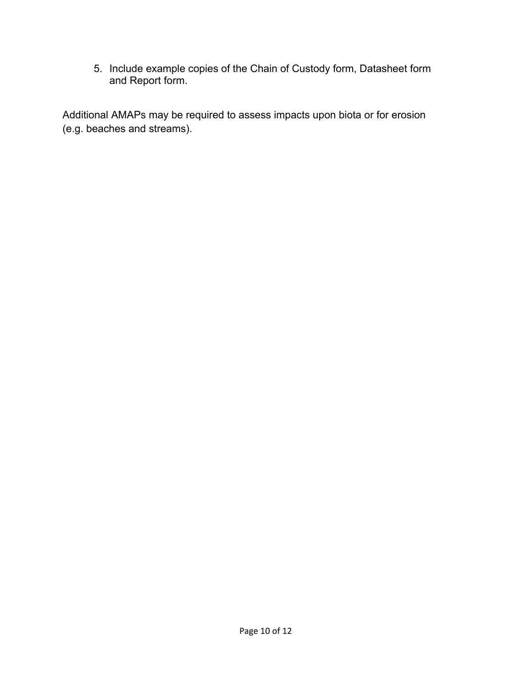5. Include example copies of the Chain of Custody form, Datasheet form and Report form.

Additional AMAPs may be required to assess impacts upon biota or for erosion (e.g. beaches and streams).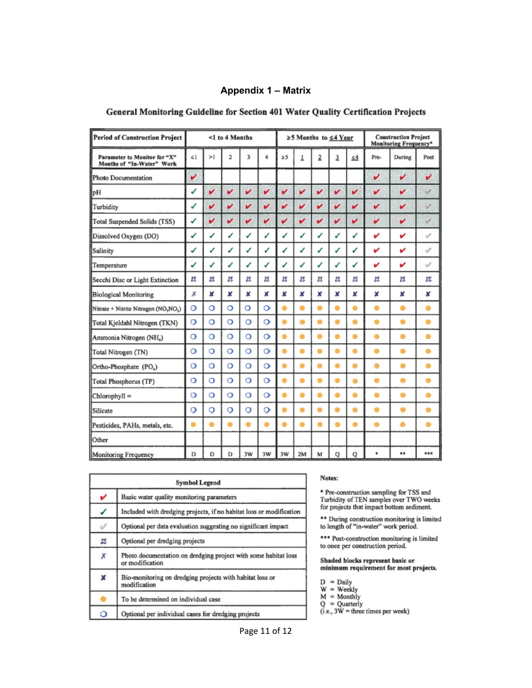## **Appendix 1 – Matrix**

| <b>Period of Construction Project</b>                     | <1 to 4 Months |         |         |         | ≥5 Months to ≤4 Year |    |    |   | <b>Construction Project</b><br><b>Monitoring Frequency*</b> |          |      |        |               |
|-----------------------------------------------------------|----------------|---------|---------|---------|----------------------|----|----|---|-------------------------------------------------------------|----------|------|--------|---------------|
| Parameter to Monitor for "X"<br>Months of "In-Water" Work | 51             | >1      | 2       | 3       | 4                    | 25 | 1  | 2 | 3                                                           | $\leq 4$ | Pre- | During | Post          |
| Photo Documentation                                       | v              |         |         |         |                      |    |    |   |                                                             |          | v    | v      | v             |
| pH                                                        | ✔              | v       | v       | v       | v                    | v  | v  | v | v                                                           | v        | v    | v      | $\mathcal{J}$ |
| Turbidity                                                 | ✔              | v       | v       | v       | v                    | v  | v  | v | v                                                           | v        | v    | v      | $\mathcal{G}$ |
| Total Suspended Solids (TSS)                              | √              | v       | v       | v       | v                    | v  | v  | v | v                                                           | v        | v    | v      | $\mathscr{I}$ |
| Dissolved Oxygen (DO)                                     | ✔              | √       | ✓       | √       | ✔                    | V  | ✔  | ✔ | ✔                                                           | ✓        | v    | v      | √             |
| Salinity                                                  | ✔              | ✔       | ✔       | ✔       | ✓                    | ✓  | ✔  | ✔ | ✔                                                           | ✔        | v    | v      | $\mathcal{A}$ |
| Temperature                                               | ✔              | ✔       | ✓       | ✓       | ✓                    | ✓  | ✓  | J | ✔                                                           | ✔        | v    | v      | $\mathcal{I}$ |
| Secchi Disc or Light Extinction                           | జ              | ×       | జ       | z       | జ                    | ×  | z  | × | ĸ                                                           | ×        | z    | 怒      | z             |
| <b>Biological Monitoring</b>                              | Х              | ×       | ×       | ×       | ×                    | x  | x  | x | ×                                                           | ×        | ×    | ×      | x             |
| Nitrate + Nitrite Nitrogen (NO3NO2)                       | $\circ$        | O       | $\circ$ | O       | $\circ$              |    |    | ۰ |                                                             | ۰        |      | ۰      | ۰             |
| Total Kjeldahl Nitrogen (TKN)                             | Ō              | Ō       | $\circ$ | $\circ$ | $\circ$              |    |    |   |                                                             | ۰        |      | ۰      | ۰             |
| Ammonia Nitrogen (NH,)                                    | O              | $\circ$ | O       | $\circ$ | o                    |    |    |   |                                                             |          |      |        |               |
| Total Nitrogen (TN)                                       | $\circ$        | O       | $\circ$ | $\circ$ | $\circ$              |    |    |   |                                                             | ٠        | ۰    | -      | ٠             |
| Ortho-Phosphate (PO <sub>4</sub> )                        | O              | $\circ$ | $\circ$ | $\circ$ | $\circ$              |    |    |   |                                                             | ۰        |      | ۰      | ٠             |
| Total Phosphorus (TP)                                     | $\circ$        | O       | O       | O       | $\circ$              |    |    |   |                                                             |          |      |        | ۰             |
| Chlorophyll «                                             | о              | $\circ$ | O       | Ö       | $\circ$              |    |    | ۸ |                                                             | ۰        | ۸    |        | ٠             |
| Silicate                                                  | $\circ$        | $\circ$ | $\circ$ | $\circ$ | o                    |    |    |   |                                                             | ۰        |      |        | 0             |
| Pesticides, PAHs, metals, etc.                            |                |         | -       | ▬       |                      |    |    |   |                                                             |          |      |        |               |
| Other                                                     |                |         |         |         |                      |    |    |   |                                                             |          |      |        |               |
| Monitoring Frequency                                      | D              | D       | D       | 3W      | 3W                   | 3W | 2M | M | Q                                                           | Q        | ۰    | **     | ***           |

## General Monitoring Guideline for Section 401 Water Quality Certification Projects

|   | Symbol Legend                                                                     |  |  |  |  |
|---|-----------------------------------------------------------------------------------|--|--|--|--|
| v | Basic water quality monitoring parameters                                         |  |  |  |  |
| ✔ | Included with dredging projects, if no habitat loss or modification               |  |  |  |  |
| Í | Optional per data evaluation suggesting no significant impact                     |  |  |  |  |
| x | Optional per dredging projects                                                    |  |  |  |  |
| × | Photo documentation on dredging project with some habitat loss<br>or modification |  |  |  |  |
| x | Bio-monitoring on dredging projects with habitat loss or<br>modification          |  |  |  |  |
|   | To be determined on individual case                                               |  |  |  |  |
| Ō | Optional per individual cases for dredging projects                               |  |  |  |  |

## Notes:

\* Pre-construction sampling for TSS and Turbidity of TEN samples over TWO weeks for projects that impact bottom sediment.

\*\* During construction monitoring is limited<br>to length of "in-water" work period.

\*\*\* Post-construction monitoring is limited to once per construction period.

Shaded blocks represent basic or minimum requirement for most projects.

|  | l 19 | 11 I 1 |  |
|--|------|--------|--|
|  |      |        |  |

- 
- 
- 

 $W = \text{Weakly}$ <br>  $M = \text{Monthly}$ <br>  $Q = \text{Quarterly}$ <br>  $(i.e., 3W = three times per week)$